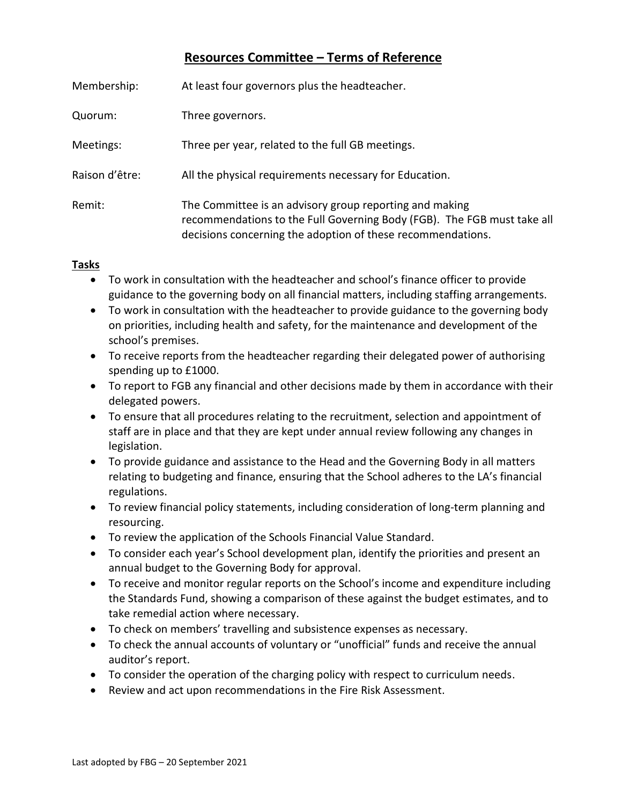# **Resources Committee – Terms of Reference**

| Membership:    | At least four governors plus the headteacher.                                                                                                                                                     |
|----------------|---------------------------------------------------------------------------------------------------------------------------------------------------------------------------------------------------|
| Quorum:        | Three governors.                                                                                                                                                                                  |
| Meetings:      | Three per year, related to the full GB meetings.                                                                                                                                                  |
| Raison d'être: | All the physical requirements necessary for Education.                                                                                                                                            |
| Remit:         | The Committee is an advisory group reporting and making<br>recommendations to the Full Governing Body (FGB). The FGB must take all<br>decisions concerning the adoption of these recommendations. |

#### **Tasks**

- To work in consultation with the headteacher and school's finance officer to provide guidance to the governing body on all financial matters, including staffing arrangements.
- To work in consultation with the headteacher to provide guidance to the governing body on priorities, including health and safety, for the maintenance and development of the school's premises.
- To receive reports from the headteacher regarding their delegated power of authorising spending up to £1000.
- To report to FGB any financial and other decisions made by them in accordance with their delegated powers.
- To ensure that all procedures relating to the recruitment, selection and appointment of staff are in place and that they are kept under annual review following any changes in legislation.
- To provide guidance and assistance to the Head and the Governing Body in all matters relating to budgeting and finance, ensuring that the School adheres to the LA's financial regulations.
- To review financial policy statements, including consideration of long-term planning and resourcing.
- To review the application of the Schools Financial Value Standard.
- To consider each year's School development plan, identify the priorities and present an annual budget to the Governing Body for approval.
- To receive and monitor regular reports on the School's income and expenditure including the Standards Fund, showing a comparison of these against the budget estimates, and to take remedial action where necessary.
- To check on members' travelling and subsistence expenses as necessary.
- To check the annual accounts of voluntary or "unofficial" funds and receive the annual auditor's report.
- To consider the operation of the charging policy with respect to curriculum needs.
- Review and act upon recommendations in the Fire Risk Assessment.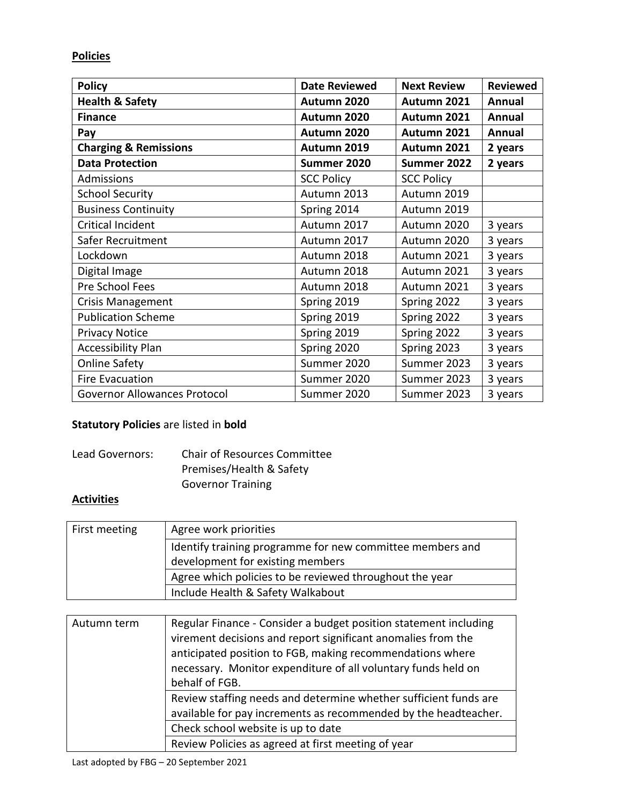### **Policies**

| <b>Policy</b>                       | <b>Date Reviewed</b> | <b>Next Review</b> | <b>Reviewed</b> |
|-------------------------------------|----------------------|--------------------|-----------------|
| <b>Health &amp; Safety</b>          | Autumn 2020          | Autumn 2021        | Annual          |
| <b>Finance</b>                      | Autumn 2020          | Autumn 2021        | Annual          |
| Pay                                 | Autumn 2020          | Autumn 2021        | Annual          |
| <b>Charging &amp; Remissions</b>    | Autumn 2019          | Autumn 2021        | 2 years         |
| <b>Data Protection</b>              | Summer 2020          | Summer 2022        | 2 years         |
| Admissions                          | <b>SCC Policy</b>    | <b>SCC Policy</b>  |                 |
| <b>School Security</b>              | Autumn 2013          | Autumn 2019        |                 |
| <b>Business Continuity</b>          | Spring 2014          | Autumn 2019        |                 |
| <b>Critical Incident</b>            | Autumn 2017          | Autumn 2020        | 3 years         |
| Safer Recruitment                   | Autumn 2017          | Autumn 2020        | 3 years         |
| Lockdown                            | Autumn 2018          | Autumn 2021        | 3 years         |
| Digital Image                       | Autumn 2018          | Autumn 2021        | 3 years         |
| Pre School Fees                     | Autumn 2018          | Autumn 2021        | 3 years         |
| <b>Crisis Management</b>            | Spring 2019          | Spring 2022        | 3 years         |
| <b>Publication Scheme</b>           | Spring 2019          | Spring 2022        | 3 years         |
| <b>Privacy Notice</b>               | Spring 2019          | Spring 2022        | 3 years         |
| <b>Accessibility Plan</b>           | Spring 2020          | Spring 2023        | 3 years         |
| <b>Online Safety</b>                | Summer 2020          | Summer 2023        | 3 years         |
| <b>Fire Evacuation</b>              | Summer 2020          | Summer 2023        | 3 years         |
| <b>Governor Allowances Protocol</b> | Summer 2020          | Summer 2023        | 3 years         |

### **Statutory Policies** are listed in **bold**

| Lead Governors: | <b>Chair of Resources Committee</b> |
|-----------------|-------------------------------------|
|                 | Premises/Health & Safety            |
|                 | <b>Governor Training</b>            |

# **Activities**

| First meeting | Agree work priorities                                     |
|---------------|-----------------------------------------------------------|
|               | Identify training programme for new committee members and |
|               | development for existing members                          |
|               | Agree which policies to be reviewed throughout the year   |
|               | Include Health & Safety Walkabout                         |

| Autumn term | Regular Finance - Consider a budget position statement including<br>virement decisions and report significant anomalies from the<br>anticipated position to FGB, making recommendations where<br>necessary. Monitor expenditure of all voluntary funds held on<br>behalf of FGB. |
|-------------|----------------------------------------------------------------------------------------------------------------------------------------------------------------------------------------------------------------------------------------------------------------------------------|
|             | Review staffing needs and determine whether sufficient funds are<br>available for pay increments as recommended by the headteacher.<br>Check school website is up to date                                                                                                        |
|             | Review Policies as agreed at first meeting of year                                                                                                                                                                                                                               |